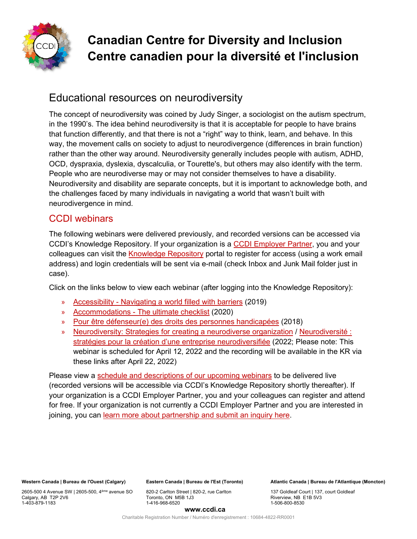

# **Canadian Centre for Diversity and Inclusion Centre canadien pour la diversité et l'inclusion**

# Educational resources on neurodiversity

The concept of neurodiversity was coined by Judy Singer, a sociologist on the autism spectrum, in the 1990's. The idea behind neurodiversity is that it is acceptable for people to have brains that function differently, and that there is not a "right" way to think, learn, and behave. In this way, the movement calls on society to adjust to neurodivergence (differences in brain function) rather than the other way around. Neurodiversity generally includes people with autism, ADHD, OCD, dyspraxia, dyslexia, dyscalculia, or Tourette's, but others may also identify with the term. People who are neurodiverse may or may not consider themselves to have a disability. Neurodiversity and disability are separate concepts, but it is important to acknowledge both, and the challenges faced by many individuals in navigating a world that wasn't built with neurodivergence in mind.

## CCDI webinars

The following webinars were delivered previously, and recorded versions can be accessed via CCDI's Knowledge Repository. If your organization is a [CCDI Employer Partner,](https://ccdi.ca/employers/) you and your colleagues can visit the [Knowledge Repository](https://portal.ccdi.ca/login) portal to register for access (using a work email address) and login credentials will be sent via e-mail (check Inbox and Junk Mail folder just in case).

Click on the links below to view each webinar (after logging into the Knowledge Repository):

- » Accessibility [Navigating a world filled with barriers](https://portal.ccdi.ca/kbarticle/1489-CCDI-Webinar-Accessibility--Navigating-a-world-fi) (2019)
- » Accommodations [The ultimate checklist](https://portal.ccdi.ca/kbarticle/1541-CCDI-Webinar-Accommodations--The-ultimate-checkli) (2020)
- » [Pour être défenseur\(e\) des droits des](https://portal.ccdi.ca/kbarticle/1204-Webinaire-du-CCDI--Pour-%C3%AAtre-d%C3%A9fenseure-des-droit) personnes handicapées (2018)
- » [Neurodiversity: Strategies for creating a neurodiverse organization](https://portal.ccdi.ca/kbarticle/2524-CCDI-Webinar-Neurodiversity-Strategies-for-creati) / [Neurodiversité :](https://portal.ccdi.ca/kbarticle/2525-Webinaire-du-CCDI--Neurodiversit%C3%A9--strat%C3%A9gies-pou)  [stratégies pour la création d'une entreprise neurodiversifiée](https://portal.ccdi.ca/kbarticle/2525-Webinaire-du-CCDI--Neurodiversit%C3%A9--strat%C3%A9gies-pou) (2022; Please note: This webinar is scheduled for April 12, 2022 and the recording will be available in the KR via these links after April 22, 2022)

Please view a [schedule and descriptions of our upcoming webinars](https://www.ccdi.ca/event-calendar/?category=Webinars) to be delivered live (recorded versions will be accessible via CCDI's Knowledge Repository shortly thereafter). If your organization is a CCDI Employer Partner, you and your colleagues can register and attend for free. If your organization is not currently a CCDI Employer Partner and you are interested in joining, you can [learn more about partnership and submit an inquiry here.](https://ccdi.ca/employer-partner-information/)

**Western Canada | Bureau de l'Ouest (Calgary)**

2605-500 4 Avenue SW | 2605-500, 4ème avenue SO Calgary, AB T2P 2V6 1-403-879-1183

**Eastern Canada | Bureau de l'Est (Toronto)**

820-2 Carlton Street | 820-2, rue Carlton Toronto, ON M5B 1J3 1-416-968-6520

**Atlantic Canada | Bureau de l'Atlantique (Moncton)** 

137 Goldleaf Court | 137, court Goldleaf Riverview, NB E1B 5V3 1-506-800-8530

#### **www.ccdi.ca**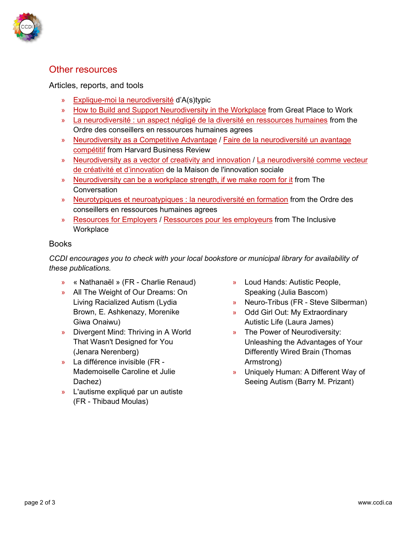

## Other resources

#### Articles, reports, and tools

- » [Explique-moi la neurodiversité](https://astypic.fr/explique/neurodiversite/) d'A(s)typic
- » [How to Build and Support Neurodiversity in the Workplace](https://www.greatplacetowork.com/resources/blog/how-to-build-and-support-neurodiversity-in-the-workplace) from Great Place to Work
- » [La neurodiversité : un aspect négligé de la diversité en ressources humaines](https://ordrecrha.org/fr-CA/ressources/sante-securite/2019/03/neurodiversite-aspect-neglige-diversite-rh/) from the Ordre des conseillers en ressources humaines agrees
- » [Neurodiversity as a Competitive Advantage](https://hbr.org/2017/05/neurodiversity-as-a-competitive-advantage) / [Faire de la neurodiversité un avantage](https://www.hbrfrance.fr/magazine/2019/07/26734-faire-de-la-neurodiversite-un-avantage-competitif/)  [compétitif](https://www.hbrfrance.fr/magazine/2019/07/26734-faire-de-la-neurodiversite-un-avantage-competitif/) from Harvard Business Review
- » [Neurodiversity as a vector of creativity and innovation](https://www.mis.quebec/en/raccords-8-en/2021/06/03/neurodiversity-vector-creativity-innovation/) / [La neurodiversité comme vecteur](https://www.mis.quebec/raccords-8/2021/06/03/neurodiversite-vecteur-creativite-innovation/)  [de créativité et d'innovation](https://www.mis.quebec/raccords-8/2021/06/03/neurodiversite-vecteur-creativite-innovation/) de la Maison de l'innovation sociale
- » [Neurodiversity can be a workplace strength, if we make room for it](https://theconversation.com/neurodiversity-can-be-a-workplace-strength-if-we-make-room-for-it-164859) from The **Conversation**
- » [Neurotypiques et neuroatypiques : la neurodiversité en formation](https://ordrecrha.org/ressources/revue-rh/volume-22-no-3/neurodiversite-en-formation) from the Ordre des conseillers en ressources humaines agrees
- » [Resources for Employers](https://www.theinclusiveworkplace.ca/en/hire-inclusively) / [Ressources pour les employeurs](https://www.lemilieudetravailinclusif.ca/fr/embaucher-de-maniere-inclusive) from The Inclusive **Workplace**

#### Books

*CCDI encourages you to check with your local bookstore or municipal library for availability of these publications.*

- » « Nathanaël » (FR Charlie Renaud)
- » All The Weight of Our Dreams: On Living Racialized Autism (Lydia Brown, E. Ashkenazy, Morenike Giwa Onaiwu)
- » Divergent Mind: Thriving in A World That Wasn't Designed for You (Jenara Nerenberg)
- » La différence invisible (FR Mademoiselle Caroline et Julie Dachez)
- » L'autisme expliqué par un autiste (FR - Thibaud Moulas)
- » Loud Hands: Autistic People, Speaking (Julia Bascom)
- » Neuro-Tribus (FR Steve Silberman)
- » Odd Girl Out: My Extraordinary Autistic Life (Laura James)
- » The Power of Neurodiversity: Unleashing the Advantages of Your Differently Wired Brain (Thomas Armstrong)
- » Uniquely Human: A Different Way of Seeing Autism (Barry M. Prizant)